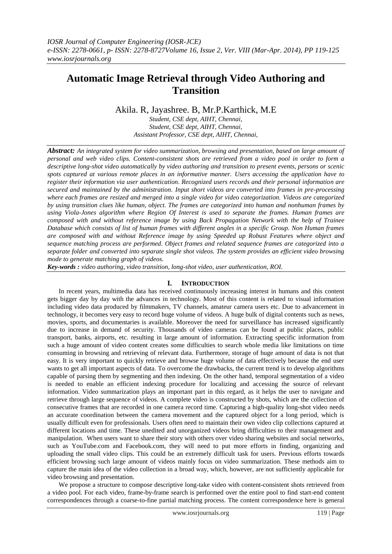# **Automatic Image Retrieval through Video Authoring and Transition**

## Akila. R, Jayashree. B, Mr.P.Karthick, M.E

*Student, CSE dept, AIHT, Chennai, Student, CSE dept, AIHT, Chennai, Assistant Professor, CSE dept, AIHT, Chennai,* 

*Abstract: An integrated system for video summarization, browsing and presentation, based on large amount of personal and web video clips. Content-consistent shots are retrieved from a video pool in order to form a descriptive long-shot video automatically by video authoring and transition to present events, persons or scenic spots captured at various remote places in an informative manner. Users accessing the application have to register their information via user authentication. Recognized users records and their personal information are secured and maintained by the administration. Input short videos are converted into frames in pre-processing where each frames are resized and merged into a single video for video categorization. Videos are categorized by using transition clues like human, object. The frames are categorized into human and nonhuman frames by using Viola-Jones algorithm where Region Of Interest is used to separate the frames. Human frames are composed with and without reference image by using Back Propagation Network with the help of Trainee Database which consists of list of human frames with different angles in a specific Group. Non Human frames are composed with and without Reference image by using Speeded up Robust Features where object and sequence matching process are performed. Object frames and related sequence frames are categorized into a separate folder and converted into separate single shot videos. The system provides an efficient video browsing mode to generate matching graph of videos.*

*Key-words : video authoring, video transition, long-shot video, user authentication, ROI.*

## **I. INTRODUCTION**

In recent years, multimedia data has received continuously increasing interest in humans and this content gets bigger day by day with the advances in technology. Most of this content is related to visual information including video data produced by filmmakers, TV channels, amateur camera users etc. Due to advancement in technology, it becomes very easy to record huge volume of videos. A huge bulk of digital contents such as news, movies, sports, and documentaries is available. Moreover the need for surveillance has increased significantly due to increase in demand of security. Thousands of video cameras can be found at public places, public transport, banks, airports, etc. resulting in large amount of information. Extracting specific information from such a huge amount of video content creates some difficulties to search whole media like limitations on time consuming in browsing and retrieving of relevant data. Furthermore, storage of huge amount of data is not that easy. It is very important to quickly retrieve and browse huge volume of data effectively because the end user wants to get all important aspects of data. To overcome the drawbacks, the current trend is to develop algorithms capable of parsing them by segmenting and then indexing. On the other hand, temporal segmentation of a video is needed to enable an efficient indexing procedure for localizing and accessing the source of relevant information. Video summarization plays an important part in this regard, as it helps the user to navigate and retrieve through large sequence of videos. A complete video is constructed by shots, which are the collection of consecutive frames that are recorded in one camera record time. Capturing a high-quality long-shot video needs an accurate coordination between the camera movement and the captured object for a long period, which is usually difficult even for professionals. Users often need to maintain their own video clip collections captured at different locations and time. These unedited and unorganized videos bring difficulties to their management and manipulation. When users want to share their story with others over video sharing websites and social networks, such as YouTube.com and Facebook.com, they will need to put more efforts in finding, organizing and uploading the small video clips. This could be an extremely difficult task for users. Previous efforts towards efficient browsing such large amount of videos mainly focus on video summarization. These methods aim to capture the main idea of the video collection in a broad way, which, however, are not sufficiently applicable for video browsing and presentation.

We propose a structure to compose descriptive long-take video with content-consistent shots retrieved from a video pool. For each video, frame-by-frame search is performed over the entire pool to find start-end content correspondences through a coarse-to-fine partial matching process. The content correspondence here is general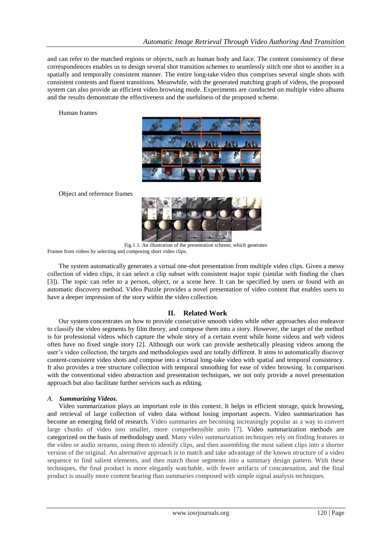and can refer to the matched regions or objects, such as human body and face. The content consistency of these correspondences enables us to design several shot transition schemes to seamlessly stitch one shot to another in a spatially and temporally consistent manner. The entire long-take video thus comprises several single shots with consistent contents and fluent transitions. Meanwhile, with the generated matching graph of videos, the proposed system can also provide an efficient video browsing mode. Experiments are conducted on multiple video albums and the results demonstrate the effectiveness and the usefulness of the proposed scheme.

Human frames



Object and reference frames



Fig.1.1. An illustration of the presentation scheme, which generates Frames from videos by selecting and composing short video clips.

The system automatically generates a virtual one-shot presentation from multiple video clips. Given a messy collection of video clips, it can select a clip subset with consistent major topic (similar with finding the clues [3]). The topic can refer to a person, object, or a scene here. It can be specified by users or found with an automatic discovery method. Video Puzzle provides a novel presentation of video content that enables users to have a deeper impression of the story within the video collection.

## **II. Related Work**

Our system concentrates on how to provide consecutive smooth video while other approaches also endeavor to classify the video segments by film theory, and compose them into a story. However, the target of the method is for professional videos which capture the whole story of a certain event while home videos and web videos often have no fixed single story [2]. Although our work can provide aesthetically pleasing videos among the user's video collection, the targets and methodologies used are totally different. It aims to automatically discover content-consistent video shots and compose into a virtual long-take video with spatial and temporal consistency. It also provides a tree structure collection with temporal smoothing for ease of video browsing. In comparison with the conventional video abstraction and presentation techniques, we not only provide a novel presentation approach but also facilitate further services such as editing.

## *A. Summarizing Videos***.**

Video summarization plays an important role in this context. It helps in efficient storage, quick browsing, and retrieval of large collection of video data without losing important aspects. Video summarization has become an emerging field of research. Video summaries are becoming increasingly popular as a way to convert large chunks of video into smaller, more comprehensible units [7]. Video summarization methods are categorized on the basis of methodology used. Many video summarization techniques rely on finding features in the video or audio streams, using them to identify clips, and then assembling the most salient clips into a shorter version of the original. An alternative approach is to match and take advantage of the known structure of a video sequence to find salient elements, and then match those segments into a summary design pattern. With these techniques, the final product is more elegantly watchable, with fewer artifacts of concatenation, and the final product is usually more content bearing than summaries composed with simple signal analysis techniques.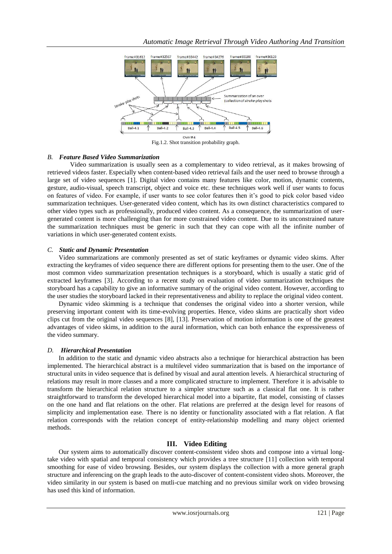

Fig.1.2. Shot transition probability graph.

#### *B. Feature Based Video Summarization*

Video summarization is usually seen as a complementary to video retrieval, as it makes browsing of retrieved videos faster. Especially when content-based video retrieval fails and the user need to browse through a large set of video sequences [1]. Digital video contains many features like color, motion, dynamic contents, gesture, audio-visual, speech transcript, object and voice etc. these techniques work well if user wants to focus on features of video. For example, if user wants to see color features then it's good to pick color based video summarization techniques. User-generated video content, which has its own distinct characteristics compared to other video types such as professionally, produced video content. As a consequence, the summarization of usergenerated content is more challenging than for more constrained video content. Due to its unconstrained nature the summarization techniques must be generic in such that they can cope with all the infinite number of variations in which user-generated content exists.

#### *C. Static and Dynamic Presentation*

Video summarizations are commonly presented as set of static keyframes or dynamic video skims. After extracting the keyframes of video sequence there are different options for presenting them to the user. One of the most common video summarization presentation techniques is a storyboard, which is usually a static grid of extracted keyframes [3]. According to a recent study on evaluation of video summarization techniques the storyboard has a capability to give an informative summary of the original video content. However, according to the user studies the storyboard lacked in their representativeness and ability to replace the original video content.

Dynamic video skimming is a technique that condenses the original video into a shorter version, while preserving important content with its time-evolving properties. Hence, video skims are practically short video clips cut from the original video sequences [8], [13]. Preservation of motion information is one of the greatest advantages of video skims, in addition to the aural information, which can both enhance the expressiveness of the video summary.

#### *D. Hierarchical Presentation*

In addition to the static and dynamic video abstracts also a technique for hierarchical abstraction has been implemented. The hierarchical abstract is a multilevel video summarization that is based on the importance of structural units in video sequence that is defined by visual and aural attention levels. A hierarchical structuring of relations may result in more classes and a more complicated structure to implement. Therefore it is advisable to transform the hierarchical relation structure to a simpler structure such as a classical flat one. It is rather straightforward to transform the developed hierarchical model into a bipartite, flat model, consisting of classes on the one hand and flat relations on the other. Flat relations are preferred at the design level for reasons of simplicity and implementation ease. There is no identity or functionality associated with a flat relation. A flat relation corresponds with the relation concept of entity-relationship modelling and many object oriented methods.

## **III. Video Editing**

Our system aims to automatically discover content-consistent video shots and compose into a virtual longtake video with spatial and temporal consistency which provides a tree structure [11] collection with temporal smoothing for ease of video browsing. Besides, our system displays the collection with a more general graph structure and inferencing on the graph leads to the auto-discover of content-consistent video shots. Moreover, the video similarity in our system is based on mutli-cue matching and no previous similar work on video browsing has used this kind of information.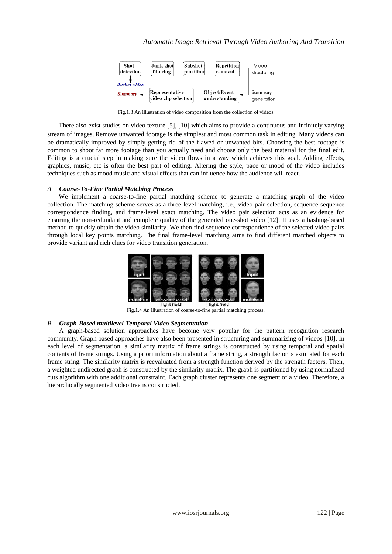

Fig.1.3 An illustration of video composition from the collection of videos

There also exist studies on video texture [5], [10] which aims to provide a continuous and infinitely varying stream of images. Remove unwanted footage is the simplest and most common task in editing. Many videos can be dramatically improved by simply getting rid of the flawed or unwanted bits. Choosing the best footage is common to shoot far more footage than you actually need and choose only the best material for the final edit. Editing is a crucial step in making sure the video flows in a way which achieves this goal. Adding effects, graphics, music, etc is often the best part of editing. Altering the style, pace or mood of the video includes techniques such as mood music and visual effects that can influence how the audience will react.

#### *A. Coarse-To-Fine Partial Matching Process*

We implement a coarse-to-fine partial matching scheme to generate a matching graph of the video collection. The matching scheme serves as a three-level matching, i.e., video pair selection, sequence-sequence correspondence finding, and frame-level exact matching. The video pair selection acts as an evidence for ensuring the non-redundant and complete quality of the generated one-shot video [12]. It uses a hashing-based method to quickly obtain the video similarity. We then find sequence correspondence of the selected video pairs through local key points matching. The final frame-level matching aims to find different matched objects to provide variant and rich clues for video transition generation.



Fig.1.4 An illustration of coarse-to-fine partial matching process.

#### *B. Graph-Based multilevel Temporal Video Segmentation*

A graph-based solution approaches have become very popular for the pattern recognition research community. Graph based approaches have also been presented in structuring and summarizing of videos [10]. In each level of segmentation, a similarity matrix of frame strings is constructed by using temporal and spatial contents of frame strings. Using a priori information about a frame string, a strength factor is estimated for each frame string. The similarity matrix is reevaluated from a strength function derived by the strength factors. Then, a weighted undirected graph is constructed by the similarity matrix. The graph is partitioned by using normalized cuts algorithm with one additional constraint. Each graph cluster represents one segment of a video. Therefore, a hierarchically segmented video tree is constructed.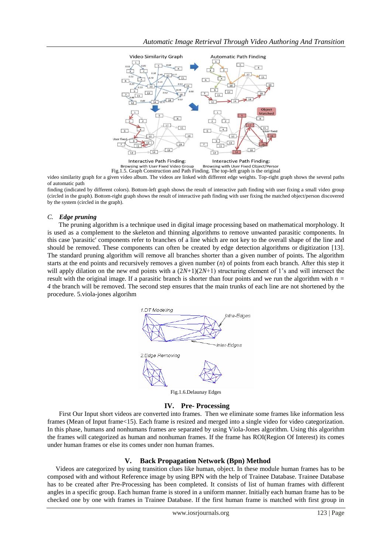

video similarity graph for a given video album. The videos are linked with different edge weights. Top-right graph shows the several paths of automatic path

finding (indicated by different colors). Bottom-left graph shows the result of interactive path finding with user fixing a small video group (circled in the graph). Bottom-right graph shows the result of interactive path finding with user fixing the matched object/person discovered by the system (circled in the graph).

### *C. Edge pruning*

The pruning algorithm is a technique used in [digital image processing](http://en.wikipedia.org/wiki/Digital_image_processing) based on [mathematical morphology.](http://en.wikipedia.org/wiki/Mathematical_morphology) It is used as a complement to the [skeleton](http://en.wikipedia.org/wiki/Topological_skeleton) and thinning algorithms to remove unwanted parasitic components. In this case 'parasitic' components refer to branches of a line which are not key to the overall shape of the line and should be removed. These components can often be created by [edge detection](http://en.wikipedia.org/wiki/Edge_detection) algorithms or digitization [13]. The standard pruning algorithm will remove all branches shorter than a given number of points. The algorithm starts at the end points and recursively removes a given number (*n*) of points from each branch. After this step it will apply dilation on the new end points with a  $(2N+1)(2N+1)$  structuring element of 1's and will intersect the result with the original image. If a parasitic branch is shorter than four points and we run the algorithm with *n = 4* the branch will be removed. The second step ensures that the main trunks of each line are not shortened by the procedure. 5.viola-jones algorihm



#### **IV. Pre- Processing**

 First Our Input short videos are converted into frames. Then we eliminate some frames like information less frames (Mean of Input frame<15). Each frame is resized and merged into a single video for video categorization. In this phase, humans and nonhumans frames are separated by using Viola-Jones algorithm. Using this algorithm the frames will categorized as human and nonhuman frames. If the frame has ROI(Region Of Interest) its comes under human frames or else its comes under non human frames.

#### **V. Back Propagation Network (Bpn) Method**

Videos are categorized by using transition clues like human, object. In these module human frames has to be composed with and without Reference image by using BPN with the help of Trainee Database. Trainee Database has to be created after Pre-Processing has been completed. It consists of list of human frames with different angles in a specific group. Each human frame is stored in a uniform manner. Initially each human frame has to be checked one by one with frames in Trainee Database. If the first human frame is matched with first group in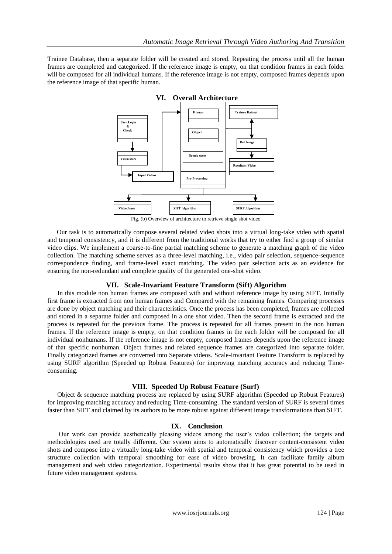Trainee Database, then a separate folder will be created and stored. Repeating the process until all the human frames are completed and categorized. If the reference image is empty, on that condition frames in each folder will be composed for all individual humans. If the reference image is not empty, composed frames depends upon the reference image of that specific human.



## **VI. Overall Architecture**

Fig. (b) Overview of architecture to retrieve single shot video

Our task is to automatically compose several related video shots into a virtual long-take video with spatial and temporal consistency, and it is different from the traditional works that try to either find a group of similar video clips. We implement a coarse-to-fine partial matching scheme to generate a matching graph of the video collection. The matching scheme serves as a three-level matching, i.e., video pair selection, sequence-sequence correspondence finding, and frame-level exact matching. The video pair selection acts as an evidence for ensuring the non-redundant and complete quality of the generated one-shot video.

## **VII. Scale-Invariant Feature Transform (Sift) Algorithm**

In this module non human frames are composed with and without reference image by using SIFT. Initially first frame is extracted from non human frames and Compared with the remaining frames. Comparing processes are done by object matching and their characteristics. Once the process has been completed, frames are collected and stored in a separate folder and composed in a one shot video. Then the second frame is extracted and the process is repeated for the previous frame. The process is repeated for all frames present in the non human frames. If the reference image is empty, on that condition frames in the each folder will be composed for all individual nonhumans. If the reference image is not empty, composed frames depends upon the reference image of that specific nonhuman. Object frames and related sequence frames are categorized into separate folder. Finally categorized frames are converted into Separate videos. Scale-Invariant Feature Transform is replaced by using SURF algorithm (Speeded up Robust Features) for improving matching accuracy and reducing Timeconsuming.

## **VIII. Speeded Up Robust Feature (Surf)**

 Object & sequence matching process are replaced by using SURF algorithm (Speeded up Robust Features) for improving matching accuracy and reducing Time-consuming. The standard version of SURF is several times faster than SIFT and claimed by its authors to be more robust against different image transformations than SIFT.

## **IX. Conclusion**

Our work can provide aesthetically pleasing videos among the user's video collection; the targets and methodologies used are totally different. Our system aims to automatically discover content-consistent video shots and compose into a virtually long-take video with spatial and temporal consistency which provides a tree structure collection with temporal smoothing for ease of video browsing. It can facilitate family album management and web video categorization. Experimental results show that it has great potential to be used in future video management systems.